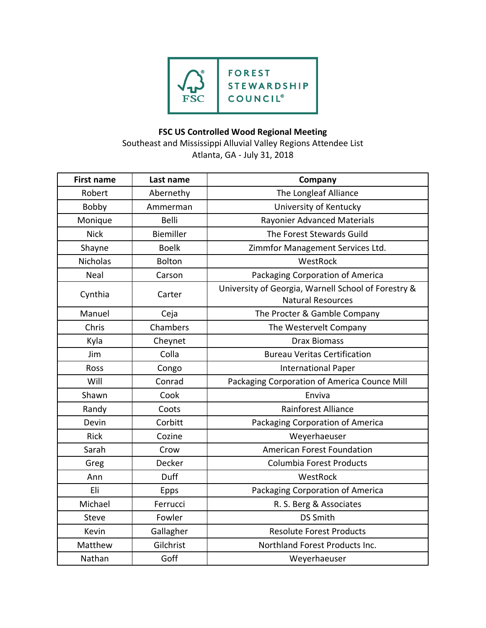

## **FSC US Controlled Wood Regional Meeting**

Southeast and Mississippi Alluvial Valley Regions Attendee List Atlanta, GA - July 31, 2018

| <b>First name</b> | Last name        | Company                                                                         |
|-------------------|------------------|---------------------------------------------------------------------------------|
| Robert            | Abernethy        | The Longleaf Alliance                                                           |
| Bobby             | Ammerman         | University of Kentucky                                                          |
| Monique           | <b>Belli</b>     | Rayonier Advanced Materials                                                     |
| <b>Nick</b>       | <b>Biemiller</b> | The Forest Stewards Guild                                                       |
| Shayne            | <b>Boelk</b>     | Zimmfor Management Services Ltd.                                                |
| <b>Nicholas</b>   | <b>Bolton</b>    | WestRock                                                                        |
| Neal              | Carson           | Packaging Corporation of America                                                |
| Cynthia           | Carter           | University of Georgia, Warnell School of Forestry &<br><b>Natural Resources</b> |
| Manuel            | Ceja             | The Procter & Gamble Company                                                    |
| Chris             | Chambers         | The Westervelt Company                                                          |
| Kyla              | Cheynet          | <b>Drax Biomass</b>                                                             |
| Jim               | Colla            | <b>Bureau Veritas Certification</b>                                             |
| Ross              | Congo            | <b>International Paper</b>                                                      |
| Will              | Conrad           | Packaging Corporation of America Counce Mill                                    |
| Shawn             | Cook             | Enviva                                                                          |
| Randy             | Coots            | <b>Rainforest Alliance</b>                                                      |
| Devin             | Corbitt          | Packaging Corporation of America                                                |
| <b>Rick</b>       | Cozine           | Weyerhaeuser                                                                    |
| Sarah             | Crow             | American Forest Foundation                                                      |
| Greg              | Decker           | Columbia Forest Products                                                        |
| Ann               | Duff             | WestRock                                                                        |
| Eli               | <b>Epps</b>      | Packaging Corporation of America                                                |
| Michael           | Ferrucci         | R. S. Berg & Associates                                                         |
| Steve             | Fowler           | <b>DS Smith</b>                                                                 |
| Kevin             | Gallagher        | <b>Resolute Forest Products</b>                                                 |
| Matthew           | Gilchrist        | Northland Forest Products Inc.                                                  |
| Nathan            | Goff             | Weyerhaeuser                                                                    |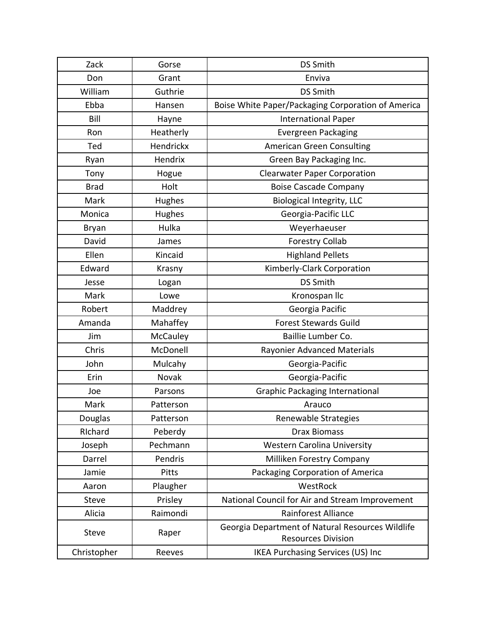| Zack         | Gorse        | <b>DS Smith</b>                                                               |
|--------------|--------------|-------------------------------------------------------------------------------|
| Don          | Grant        | Enviva                                                                        |
| William      | Guthrie      | <b>DS Smith</b>                                                               |
| Ebba         | Hansen       | Boise White Paper/Packaging Corporation of America                            |
| Bill         | Hayne        | <b>International Paper</b>                                                    |
| Ron          | Heatherly    | <b>Evergreen Packaging</b>                                                    |
| Ted          | Hendrickx    | <b>American Green Consulting</b>                                              |
| Ryan         | Hendrix      | Green Bay Packaging Inc.                                                      |
| Tony         | Hogue        | <b>Clearwater Paper Corporation</b>                                           |
| <b>Brad</b>  | Holt         | <b>Boise Cascade Company</b>                                                  |
| Mark         | Hughes       | <b>Biological Integrity, LLC</b>                                              |
| Monica       | Hughes       | Georgia-Pacific LLC                                                           |
| <b>Bryan</b> | Hulka        | Weyerhaeuser                                                                  |
| David        | James        | <b>Forestry Collab</b>                                                        |
| Ellen        | Kincaid      | <b>Highland Pellets</b>                                                       |
| Edward       | Krasny       | Kimberly-Clark Corporation                                                    |
| Jesse        | Logan        | <b>DS Smith</b>                                                               |
| Mark         | Lowe         | Kronospan IIc                                                                 |
| Robert       | Maddrey      | Georgia Pacific                                                               |
| Amanda       | Mahaffey     | <b>Forest Stewards Guild</b>                                                  |
| Jim          | McCauley     | Baillie Lumber Co.                                                            |
| Chris        | McDonell     | Rayonier Advanced Materials                                                   |
| John         | Mulcahy      | Georgia-Pacific                                                               |
| Erin         | Novak        | Georgia-Pacific                                                               |
| Joe          | Parsons      | <b>Graphic Packaging International</b>                                        |
| Mark         | Patterson    | Arauco                                                                        |
| Douglas      | Patterson    | Renewable Strategies                                                          |
| RIchard      | Peberdy      | <b>Drax Biomass</b>                                                           |
| Joseph       | Pechmann     | <b>Western Carolina University</b>                                            |
| Darrel       | Pendris      | Milliken Forestry Company                                                     |
| Jamie        | <b>Pitts</b> | Packaging Corporation of America                                              |
| Aaron        | Plaugher     | WestRock                                                                      |
| Steve        | Prisley      | National Council for Air and Stream Improvement                               |
| Alicia       | Raimondi     | Rainforest Alliance                                                           |
| Steve        | Raper        | Georgia Department of Natural Resources Wildlife<br><b>Resources Division</b> |
| Christopher  | Reeves       | <b>IKEA Purchasing Services (US) Inc</b>                                      |